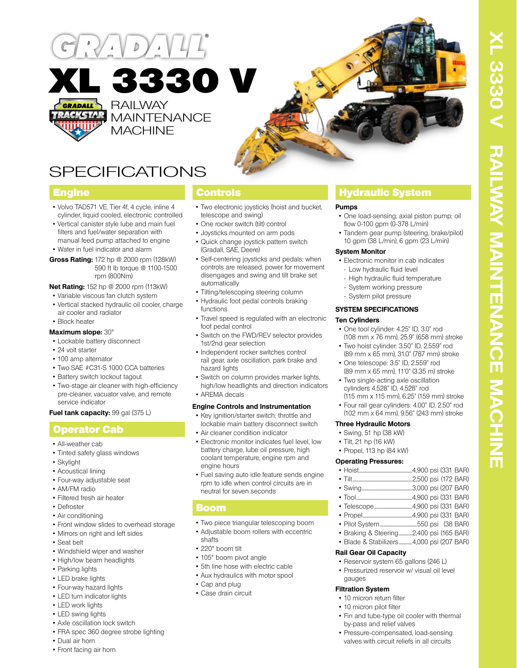

SPECIFICATIONS

590 ft lb torque @ 1100-1500

• Volvo TAD571 VE, Tier 4f, 4 cycle, inline 4 cylinder, liquid cooled, electronic controlled • Vertical canister style lube and main fuel filters and fuel/water separation with manual feed pump attached to engine • Water in fuel indicator and alarm **Gross Rating:** 172 hp @ 2000 rpm (128kW)

rpm (800Nm) **Net Rating:** 152 hp @ 2000 rpm (113kW) • Variable viscous fan clutch system • Vertical stacked hydraulic oil cooler, charge

- Two electronic joysticks (hoist and bucket, telescope and swing)
- One rocker switch (tilt) control

Controls

- Joysticks mounted on arm pods
- Quick change joystick pattern switch (Gradall, SAE, Deere)
- Self-centering joysticks and pedals; when controls are released, power for movement disengages and swing and tilt brake set automatically
- Tilting/telescoping steering column
- Hydraulic foot pedal controls braking functions
- Travel speed is regulated with an electronic foot pedal control
- Switch on the FWD/REV selector provides 1st/2nd gear selection
- Independent rocker switches control rail gear, axle oscillation, park brake and hazard lights
- Switch on column provides marker lights, high/low headlights and direction indicators
- AREMA decals

## **Engine Controls and Instrumentation**

- Key ignition/starter switch; throttle and lockable main battery disconnect switch • Air cleaner condition indicator
- 
- Electronic monitor indicates fuel level, low battery charge, lube oil pressure, high coolant temperature, engine rpm and engine hours
- Fuel saving auto idle feature sends engine rpm to idle when control circuits are in neutral for seven seconds

# Boom

- Two piece triangular telescoping boom
- Adjustable boom rollers with eccentric shafts
- 220° boom tilt
- 105° boom pivot angle
- 5th line hose with electric cable
- Aux hydraulics with motor spool
- Cap and plug
- Case drain circuit

# **Engine Hydraulic System Controls Controls Act of Australia System**

## **Pumps**

- One load-sensing, axial piston pump; oil flow 0-100 gpm (0-378 L/min)
- Tandem gear pump (steering, brake/pilot) 10 gpm (38 L/min), 6 gpm (23 L/min)

#### **System Monitor**

- Electronic monitor in cab indicates
- Low hydraulic fluid level
- High hydraulic fluid temperature
- System working pressure
- System pilot pressure

### **SYSTEM SPECIFICATIONS**

### **Ten Cylinders**

- One tool cylinder: 4.25" ID, 3.0" rod (108 mm x 76 mm), 25.9" (658 mm) stroke
- Two hoist cylinder: 3.50" ID, 2.559" rod (89 mm x 65 mm), 31.0" (787 mm) stroke
- One telescope: 3.5" ID, 2.559" rod (89 mm x 65 mm), 11'0" (3.35 m) stroke
- Two single-acting axle oscillation cylinders 4.528" ID, 4.528" rod (115 mm x 115 mm), 6.25" (159 mm) stroke
- Four rail gear cylinders: 4.00" ID, 2.50" rod (102 mm x 64 mm), 9.56" (243 mm) stroke

## **Three Hydraulic Motors**

- Swing, 51 hp (38 kW)
- Tilt, 21 hp (16 kW)
- Propel, 113 hp (84 kW)

## **Operating Pressures:**

| - - - - - - | - - - - - - |  |  |
|-------------|-------------|--|--|
|             |             |  |  |
|             |             |  |  |

- Swing.....................................................3,000 psi (207 BAR)
- Tool...........................................................4,900 psi (331 BAR)
- Telescope........................................4,900 psi (331 BAR) • Propel....................................................4,900 psi (331 BAR)
- Pilot System.......................................550 psi (38 BAR)
- Braking & Steering..............2,400 psi (165 BAR)
- Blade & Stabilizers..............4,000 psi (207 BAR)

## **Rail Gear Oil Capacity**

- Reservoir system 65 gallons (246 L)
- Pressurized reservoir w/ visual oil level gauges

## **Filtration System**

- 10 micron return filter
- 10 micron pilot filter
- Fin and tube-type oil cooler with thermal by-pass and relief valves
- Pressure-compensated, load-sensing valves with circuit reliefs in all circuits

• 24 volt starter • 100 amp alternator

• Lockable battery disconnect

air cooler and radiator

• Block heater **Maximum slope:** 30°

- Two SAE #C31-S 1000 CCA batteries
- Battery switch lockout tagout
- Two-stage air cleaner with high-efficiency pre-cleaner, vacuator valve, and remote service indicator

## **Fuel tank capacity: 99 gal (375 L)**

# Operator Cab

- All-weather cab
- Tinted safety glass windows
- Skylight
- Acoustical lining
- Four-way adjustable seat
- AM/FM radio
- Filtered fresh air heater
- Defroster
- Air conditioning
- Front window slides to overhead storage
- Mirrors on right and left sides
- Seat belt
- Windshield wiper and washer
- High/low beam headlights
- Parking lights
- LED brake lights
- Four-way hazard lights
- LED turn indicator lights
- LED work lights
- LED swing lights
- Axle oscillation lock switch
- FRA spec 360 degree strobe lighting
- Dual air horn
- Front facing air horn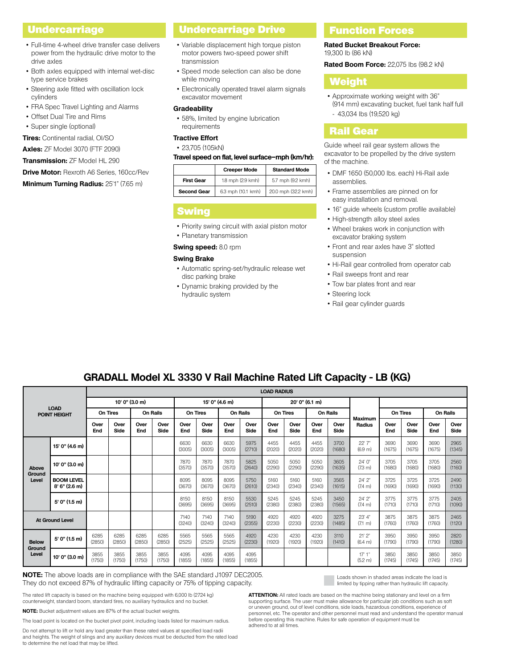### **Undercarriage**

- Full-time 4-wheel drive transfer case delivers power from the hydraulic drive motor to the drive axles
- Both axles equipped with internal wet-disc type service brakes
- Steering axle fitted with oscillation lock cylinders
- FRA Spec Travel Lighting and Alarms
- Offset Dual Tire and Rims
- Super single (optional)

**Tires:** Continental radial, OI/SO

**Axles:** ZF Model 3070 (FTF 2090)

**Transmission:** ZF Model HL 290

**Drive Motor:** Rexroth A6 Series, 160cc/Rev

## **Minimum Turning Radius:** 25'1" (7.65 m)

# Undercarriage Drive

- Variable displacement high torque piston motor powers two-speed power shift transmission
- Speed mode selection can also be done while moving
- Electronically operated travel alarm signals excavator movement

#### **Gradeability**

• 58%, limited by engine lubrication requirements

### **Tractive Effort**

#### • 23,705 (105kN)

#### **Travel speed on flat, level surface–mph (km/hr):**

|                    | <b>Creeper Mode</b> | <b>Standard Mode</b> |
|--------------------|---------------------|----------------------|
| <b>First Gear</b>  | 1.8 mph (2.9 kmh)   | 5.7 mph (9.2 kmh)    |
| <b>Second Gear</b> | 6.3 mph (10.1 kmh)  | 20.0 mph (32.2 kmh)  |

### **Swing**

• Priority swing circuit with axial piston motor

• Planetary transmission

**Swing speed:** 8.0 rpm

### **Swing Brake**

- Automatic spring-set/hydraulic release wet disc parking brake
- Dynamic braking provided by the hydraulic system

### Function Forces

**Rated Bucket Breakout Force:** 19,300 lb (86 kN)

**Rated Boom Force:** 22,075 lbs (98.2 kN)

## Weight

• Approximate working weight with 36" (914 mm) excavating bucket, fuel tank half full - 43,034 lbs (19,520 kg)

### Rail Gear

Guide wheel rail gear system allows the excavator to be propelled by the drive system of the machine.

- DMF 1650 (50,000 lbs. each) Hi-Rail axle assemblies.
- Frame assemblies are pinned on for easy installation and removal.
- 16" guide wheels (custom profile available)
- High-strength alloy steel axles
- Wheel brakes work in conjunction with excavator braking system
- Front and rear axles have 3" slotted suspension
- Hi-Rail gear controlled from operator cab
- Rail sweeps front and rear
- Tow bar plates front and rear
- Steering lock
- Rail gear cylinder guards

| <b>LOAD</b><br><b>POINT HEIGHT</b> |                                    | <b>LOAD RADIUS</b> |                |                 |                |                |                |                 |                |                |                |                 |                |                               |                |                |                 |                |
|------------------------------------|------------------------------------|--------------------|----------------|-----------------|----------------|----------------|----------------|-----------------|----------------|----------------|----------------|-----------------|----------------|-------------------------------|----------------|----------------|-----------------|----------------|
|                                    |                                    | $10'$ 0" (3.0 m)   |                |                 |                | 15' 0" (4.6 m) |                |                 | 20' 0" (6.1 m) |                |                |                 |                |                               |                |                |                 |                |
|                                    |                                    | On Tires           |                | <b>On Rails</b> |                | On Tires       |                | <b>On Rails</b> |                | On Tires       |                | <b>On Rails</b> |                |                               | On Tires       |                | <b>On Rails</b> |                |
|                                    |                                    | Over<br>End        | Over<br>Side   | Over<br>End     | Over<br>Side   | Over<br>End    | Over<br>Side   | Over<br>End     | Over<br>Side   | Over<br>End    | Over<br>Side   | Over<br>End     | Over<br>Side   | <b>Maximum</b><br>Radius      | Over<br>End    | Over<br>Side   | Over<br>End     | Over<br>Side   |
|                                    | 15' 0" (4.6 m)                     |                    |                |                 |                | 6630<br>(3005) | 6630<br>(3005) | 6630<br>(3005)  | 5975<br>(2710) | 4455<br>(2020) | 4455<br>(2020) | 4455<br>(2020)  | 3700<br>(1680) | 22' 7"<br>(6.9 <sub>m</sub> ) | 3690<br>(1675) | 3690<br>(1675) | 3690<br>(1675)  | 2965<br>(1345) |
| Above                              | 10' 0" (3.0 m)                     |                    |                |                 |                | 7870<br>(3570) | 7870<br>(3570) | 7870<br>(3570)  | 5825<br>(2640) | 5050<br>(2290) | 5050<br>(2290) | 5050<br>(2290)  | 3605<br>(1635) | 24'0''<br>(7.3 m)             | 3705<br>(1680) | 3705<br>(1680) | 3705<br>(1680)  | 2560<br>(1160) |
| Ground<br>Level                    | <b>BOOM LEVEL</b><br>8'6'' (2.6 m) |                    |                |                 |                | 8095<br>(3670) | 8095<br>(3670) | 8095<br>(3670)  | 5750<br>(2610) | 5160<br>(2340) | 5160<br>(2340) | 5160<br>(2340)  | 3565<br>(1615) | $24'$ $2"$<br>(7.4 m)         | 3725<br>(1690) | 3725<br>(1690) | 3725<br>(1690)  | 2490<br>(1130) |
|                                    | 5' 0" (1.5 m)                      |                    |                |                 |                | 8150<br>(3695) | 8150<br>(3695) | 8150<br>(3695)  | 5530<br>(2510) | 5245<br>(2380) | 5245<br>(2380) | 5245<br>(2380)  | 3450<br>(1565) | $24'$ $2"$<br>(7.4 m)         | 3775<br>(1710) | 3775<br>(1710) | 3775<br>(1710)  | 2405<br>(1090) |
|                                    | <b>At Ground Level</b>             |                    |                |                 |                | 7140<br>(3240) | 7140<br>(3240) | 7140<br>(3240)  | 5190<br>(2355) | 4920<br>(2230) | 4920<br>(2230) | 4920<br>(2230)  | 3275<br>(1485) | 23' 4"<br>$(7.1 \text{ m})$   | 3875<br>(1760) | 3875<br>(1760) | 3875<br>(1760)  | 2465<br>(1120) |
| <b>Below</b><br>Ground<br>Level    | $5'$ 0" (1.5 m)                    | 6285<br>(2850)     | 6285<br>(2850) | 6285<br>(2850)  | 6285<br>(2850) | 5565<br>(2525) | 5565<br>(2525) | 5565<br>(2525)  | 4920<br>(2230) | 4230<br>(1920) | 4230<br>(1920) | 4230<br>(1920)  | 3110<br>(1410) | 21'2"<br>(6.4 m)              | 3950<br>(1790) | 3950<br>(1790) | 3950<br>(1790)  | 2820<br>(1280) |
|                                    | 10' 0" (3.0 m)                     | 3855<br>(1750)     | 3855<br>(1750) | 3855<br>(1750)  | 3855<br>(1750) | 4095<br>(1855) | 4095<br>(1855) | 4095<br>(1855)  | 4095<br>(1855) |                |                |                 |                | 17'1''<br>(5.2 m)             | 3850<br>(1745) | 3850<br>(1745) | 3850<br>(1745)  | 3850<br>(1745) |

## **GRADALL Model XL 3330 V Rail Machine Rated Lift Capacity - LB (KG)**

**NOTE:** The above loads are in compliance with the SAE standard J1097 DEC2005. They do not exceed 87% of hydraulic lifting capacity or 75% of tipping capacity.

The rated lift capacity is based on the machine being equipped with 6,000 lb (2724 kg) counterweight, standard boom, standard tires, no auxiliary hydraulics and no bucket.

**NOTE:** Bucket adjustment values are 87% of the actual bucket weights.

The load point is located on the bucket pivot point, including loads listed for maximum radius.

Do not attempt to lift or hold any load greater than these rated values at specified load radii and heights. The weight of slings and any auxiliary devices must be deducted from the rated load to determine the net load that may be lifted.

Loads shown in shaded areas indicate the load is limited by tipping rather than hydraulic lift capacity.

**ATTENTION:** All rated loads are based on the machine being stationary and level on a firm supporting surface. The user must make allowance for particular job conditions such as soft or uneven ground, out of level conditions, side loads, hazardous conditions, experience of personnel, etc. The operator and other personnel must read and understand the operator manual before operating this machine. Rules for safe operation of equipment must be adhered to at all times.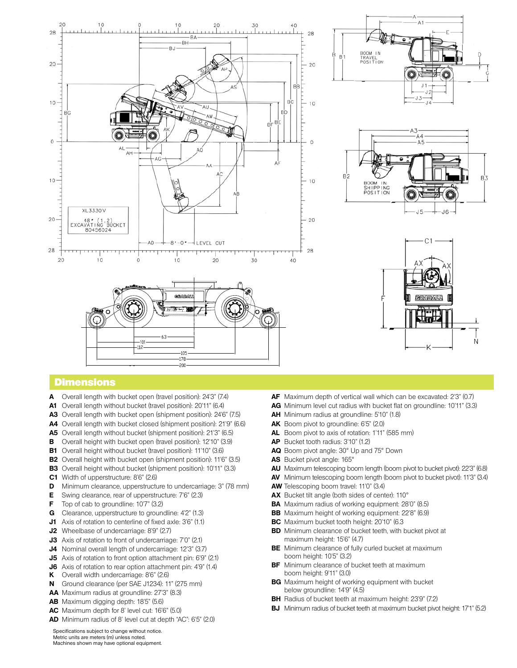

## **Dimensions**

- **A** Overall length with bucket open (travel position): 24'3" (7.4)
- **A1** Overall length without bucket (travel position): 20'11" (6.4)
- **A3** Overall length with bucket open (shipment position): 24'6" (7.5)
- **A4** Overall length with bucket closed (shipment position): 21'9" (6.6)
- **A5** Overall length without bucket (shipment position): 21'3" (6.5)
- **B** Overall height with bucket open (travel position): 12'10" (3.9)
- **B1** Overall height without bucket (travel position): 11'10" (3.6)
- **B2** Overall height with bucket open (shipment position): 11'6" (3.5)
- **B3** Overall height without bucket (shipment position): 10'11" (3.3)
- **C1** Width of upperstructure: 8'6" (2.6)
- **D** Minimum clearance, upperstructure to undercarriage: 3" (78 mm)
- **E** Swing clearance, rear of upperstructure: 7'6" (2.3)
- **F** Top of cab to groundline: 10'7" (3.2)
- **G** Clearance, upperstructure to groundline: 4'2" (1.3)
- **J1** Axis of rotation to centerline of fixed axle: 3'6" (1.1)
- **J2** Wheelbase of undercarriage: 8'9" (2.7)
- **J3** Axis of rotation to front of undercarriage: 7'0" (2.1)
- **J4** Nominal overall length of undercarriage: 12'3" (3.7)
- **J5** Axis of rotation to front option attachment pin: 6'9" (2.1)
- **J6** Axis of rotation to rear option attachment pin: 4'9" (1.4)
- **K** Overall width undercarriage: 8'6" (2.6)
- **N** Ground clearance (per SAE J1234): 11" (275 mm)
- **AA** Maximum radius at groundline: 27'3" (8.3)
- **AB** Maximum digging depth: 18'5" (5.6)
- **AC** Maximum depth for 8' level cut: 16'6" (5.0)
- **AD** Minimum radius of 8' level cut at depth "AC": 6'5" (2.0)
- **AF** Maximum depth of vertical wall which can be excavated: 2'3" (0.7)
- **AG** Minimum level cut radius with bucket flat on groundline: 10'11" (3.3)
- **AH** Minimum radius at groundline: 5'10" (1.8)
- **AK** Boom pivot to groundline: 6'5" (2.0)
- **AL** Boom pivot to axis of rotation: 1'11" (585 mm)
- **AP** Bucket tooth radius: 3'10" (1.2)
- **AQ** Boom pivot angle: 30° Up and 75° Down
- **AS** Bucket pivot angle: 165°
- **AU** Maximum telescoping boom length (boom pivot to bucket pivot): 22'3" (6.8)
- **AV** Minimum telescoping boom length (boom pivot to bucket pivot): 11'3" (3.4)
- **AW** Telescoping boom travel: 11'0" (3.4)
- **AX** Bucket tilt angle (both sides of center): 110°
- **BA** Maximum radius of working equipment: 28'0" (8.5)
- **BB** Maximum height of working equipment: 22'8" (6.9)
- **BC** Maximum bucket tooth height: 20'10" (6.3
- **BD** Minimum clearance of bucket teeth, with bucket pivot at maximum height: 15'6" (4.7)
- **BE** Minimum clearance of fully curled bucket at maximum boom height: 10'5" (3.2)
- **BF** Minimum clearance of bucket teeth at maximum boom height: 9'11" (3.0)
- **BG** Maximum height of working equipment with bucket below groundline: 14'9" (4.5)
- **BH** Radius of bucket teeth at maximum height: 23'9" (7.2)
- **BJ** Minimum radius of bucket teeth at maximum bucket pivot height: 17'1" (5.2)

Specifications subject to change without notice. Metric units are meters (m) unless noted. Machines shown may have optional equipment.